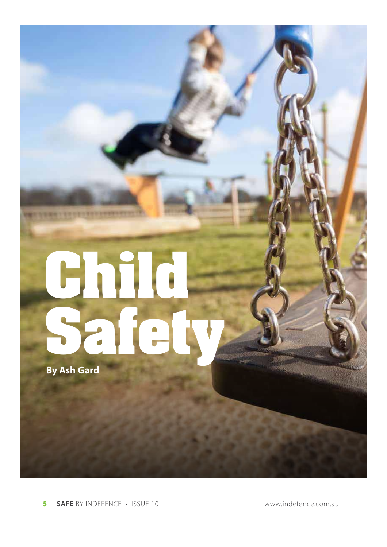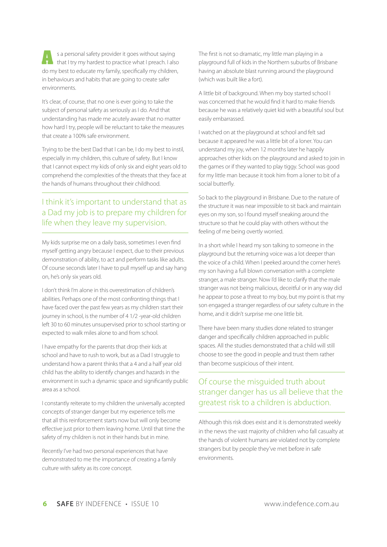**A** s a personal safety provider it goes without saying that I try my hardest to practice what I preach. I also do my best to educate my family, specifically my children, in behaviours and habits that are going to create safer environments.

It's clear, of course, that no one is ever going to take the subject of personal safety as seriously as I do. And that understanding has made me acutely aware that no matter how hard I try, people will be reluctant to take the measures that create a 100% safe environment.

Trying to be the best Dad that I can be, I do my best to instil, especially in my children, this culture of safety. But I know that I cannot expect my kids of only six and eight years old to comprehend the complexities of the threats that they face at the hands of humans throughout their childhood.

## I think it's important to understand that as a Dad my job is to prepare my children for life when they leave my supervision.

My kids surprise me on a daily basis, sometimes I even find myself getting angry because I expect, due to their previous demonstration of ability, to act and perform tasks like adults. Of course seconds later I have to pull myself up and say hang on, he's only six years old.

I don't think I'm alone in this overestimation of children's abilities. Perhaps one of the most confronting things that I have faced over the past few years as my children start their journey in school, is the number of 4 1/2 -year-old children left 30 to 60 minutes unsupervised prior to school starting or expected to walk miles alone to and from school.

I have empathy for the parents that drop their kids at school and have to rush to work, but as a Dad I struggle to understand how a parent thinks that a 4 and a half year old child has the ability to identify changes and hazards in the environment in such a dynamic space and significantly public area as a school.

I constantly reiterate to my children the universally accepted concepts of stranger danger but my experience tells me that all this reinforcement starts now but will only become effective just prior to them leaving home. Until that time the safety of my children is not in their hands but in mine.

Recently I've had two personal experiences that have demonstrated to me the importance of creating a family culture with safety as its core concept.

The first is not so dramatic, my little man playing in a playground full of kids in the Northern suburbs of Brisbane having an absolute blast running around the playground (which was built like a fort).

A little bit of background. When my boy started school I was concerned that he would find it hard to make friends because he was a relatively quiet kid with a beautiful soul but easily embarrassed.

I watched on at the playground at school and felt sad because it appeared he was a little bit of a loner. You can understand my joy, when 12 months later he happily approaches other kids on the playground and asked to join in the games or if they wanted to play tiggy. School was good for my little man because it took him from a loner to bit of a social butterfly.

So back to the playground in Brisbane. Due to the nature of the structure it was near impossible to sit back and maintain eyes on my son, so I found myself sneaking around the structure so that he could play with others without the feeling of me being overtly worried.

In a short while I heard my son talking to someone in the playground but the returning voice was a lot deeper than the voice of a child. When I peeked around the corner here's my son having a full blown conversation with a complete stranger, a male stranger. Now I'd like to clarify that the male stranger was not being malicious, deceitful or in any way did he appear to pose a threat to my boy, but my point is that my son engaged a stranger regardless of our safety culture in the home, and it didn't surprise me one little bit.

There have been many studies done related to stranger danger and specifically children approached in public spaces. All the studies demonstrated that a child will still choose to see the good in people and trust them rather than become suspicious of their intent.

## Of course the misguided truth about stranger danger has us all believe that the greatest risk to a children is abduction.

Although this risk does exist and it is demonstrated weekly in the news the vast majority of children who fall casualty at the hands of violent humans are violated not by complete strangers but by people they've met before in safe environments.